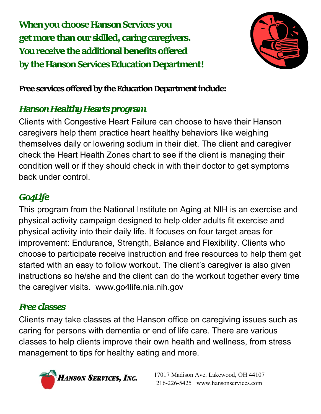**When you choose Hanson Services you get more than our skilled, caring caregivers. You receive the additional benefits offered by the Hanson Services Education Department!**



**Free services offered by the Education Department include:**

## *Hanson Healthy Hearts program*

Clients with Congestive Heart Failure can choose to have their Hanson caregivers help them practice heart healthy behaviors like weighing themselves daily or lowering sodium in their diet. The client and caregiver check the Heart Health Zones chart to see if the client is managing their condition well or if they should check in with their doctor to get symptoms back under control.

## *Go4Life*

This program from the National Institute on Aging at NIH is an exercise and physical activity campaign designed to help older adults fit exercise and physical activity into their daily life. It focuses on four target areas for improvement: Endurance, Strength, Balance and Flexibility. Clients who choose to participate receive instruction and free resources to help them get started with an easy to follow workout. The client's caregiver is also given instructions so he/she and the client can do the workout together every time the caregiver visits. www.go4life.nia.nih.gov

## *Free classes*

Clients may take classes at the Hanson office on caregiving issues such as caring for persons with dementia or end of life care. There are various classes to help clients improve their own health and wellness, from stress management to tips for healthy eating and more.



17017 Madison Ave. Lakewood, OH 44107 216-226-5425 www.hansonservices.com